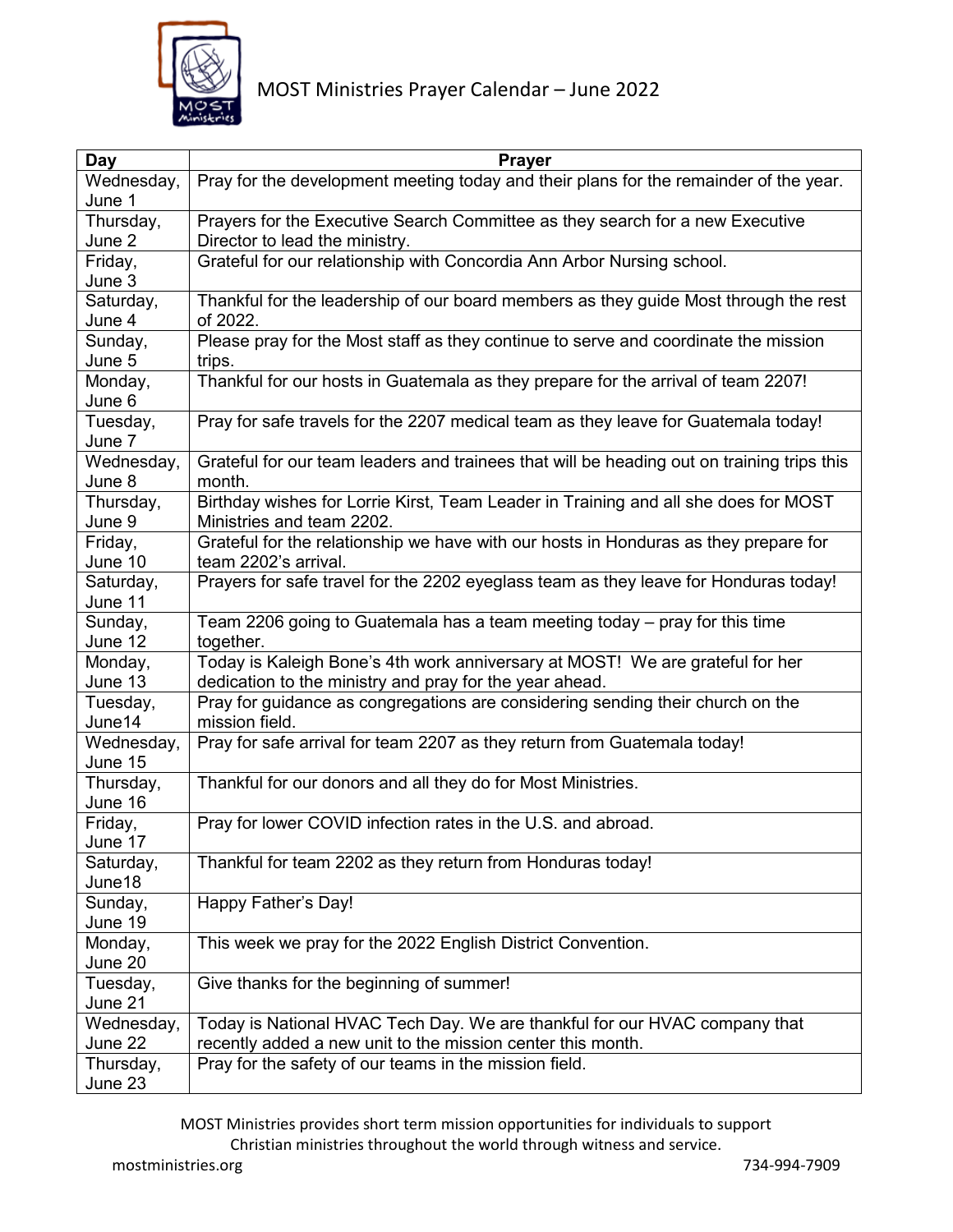

| Day                   | <b>Prayer</b>                                                                                    |
|-----------------------|--------------------------------------------------------------------------------------------------|
| Wednesday,            | Pray for the development meeting today and their plans for the remainder of the year.            |
| June 1                |                                                                                                  |
| Thursday,             | Prayers for the Executive Search Committee as they search for a new Executive                    |
| June 2                | Director to lead the ministry.                                                                   |
| Friday,               | Grateful for our relationship with Concordia Ann Arbor Nursing school.                           |
| June 3                |                                                                                                  |
| Saturday,             | Thankful for the leadership of our board members as they guide Most through the rest             |
| June 4                | of 2022.                                                                                         |
| Sunday,               | Please pray for the Most staff as they continue to serve and coordinate the mission              |
| June 5                | trips.                                                                                           |
| Monday,               | Thankful for our hosts in Guatemala as they prepare for the arrival of team 2207!                |
| June 6                |                                                                                                  |
| Tuesday,              | Pray for safe travels for the 2207 medical team as they leave for Guatemala today!               |
| June 7                |                                                                                                  |
| Wednesday,            | Grateful for our team leaders and trainees that will be heading out on training trips this       |
| June 8                | month.                                                                                           |
| Thursday,             | Birthday wishes for Lorrie Kirst, Team Leader in Training and all she does for MOST              |
| June 9                | Ministries and team 2202.                                                                        |
| Friday,               | Grateful for the relationship we have with our hosts in Honduras as they prepare for             |
| June 10               | team 2202's arrival.                                                                             |
| Saturday,             | Prayers for safe travel for the 2202 eyeglass team as they leave for Honduras today!             |
| June 11               |                                                                                                  |
| Sunday,               | Team 2206 going to Guatemala has a team meeting today - pray for this time                       |
| June 12               | together.                                                                                        |
| Monday,               | Today is Kaleigh Bone's 4th work anniversary at MOST! We are grateful for her                    |
| June 13               | dedication to the ministry and pray for the year ahead.                                          |
| Tuesday,<br>June14    | Pray for guidance as congregations are considering sending their church on the<br>mission field. |
|                       | Pray for safe arrival for team 2207 as they return from Guatemala today!                         |
| Wednesday,<br>June 15 |                                                                                                  |
| Thursday,             | Thankful for our donors and all they do for Most Ministries.                                     |
| June 16               |                                                                                                  |
| Friday,               | Pray for lower COVID infection rates in the U.S. and abroad.                                     |
| June 17               |                                                                                                  |
| Saturday,             | Thankful for team 2202 as they return from Honduras today!                                       |
| June18                |                                                                                                  |
| Sunday,               | Happy Father's Day!                                                                              |
| June 19               |                                                                                                  |
| Monday,               | This week we pray for the 2022 English District Convention.                                      |
| June 20               |                                                                                                  |
| Tuesday,              | Give thanks for the beginning of summer!                                                         |
| June 21               |                                                                                                  |
| Wednesday,            | Today is National HVAC Tech Day. We are thankful for our HVAC company that                       |
| June 22               | recently added a new unit to the mission center this month.                                      |
| Thursday,             | Pray for the safety of our teams in the mission field.                                           |
| June 23               |                                                                                                  |

MOST Ministries provides short term mission opportunities for individuals to support Christian ministries throughout the world through witness and service.